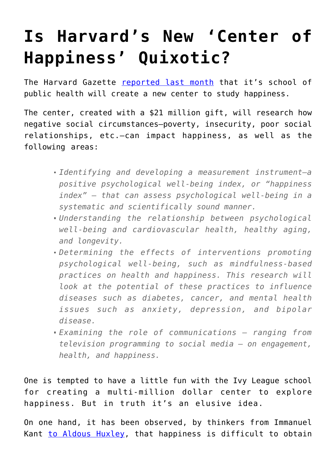## **[Is Harvard's New 'Center of](https://intellectualtakeout.org/2016/05/is-harvards-new-center-of-happiness-quixotic/) [Happiness' Quixotic?](https://intellectualtakeout.org/2016/05/is-harvards-new-center-of-happiness-quixotic/)**

The Harvard Gazette [reported last month](http://news.harvard.edu/gazette/story/2016/04/a-quest-for-happiness/) that it's school of public health will create a new center to study happiness.

The center, created with a \$21 million gift, will research how negative social circumstances—poverty, insecurity, poor social relationships, etc.—can impact happiness, as well as the following areas:

- *Identifying and developing a measurement instrument—a positive psychological well-being index, or "happiness index" — that can assess psychological well-being in a systematic and scientifically sound manner.*
- *Understanding the relationship between psychological well-being and cardiovascular health, healthy aging, and longevity.*
- *Determining the effects of interventions promoting psychological well-being, such as mindfulness-based practices on health and happiness. This research will look at the potential of these practices to influence diseases such as diabetes, cancer, and mental health issues such as anxiety, depression, and bipolar disease.*
- *Examining the role of communications ranging from television programming to social media — on engagement, health, and happiness.*

One is tempted to have a little fun with the Ivy League school for creating a multi-million dollar center to explore happiness. But in truth it's an elusive idea.

On one hand, it has been observed, by thinkers from Immanuel Kant [to Aldous Huxley](https://www.intellectualtakeout.org/blog/8-astute-comments-aldous-huxley), that happiness is difficult to obtain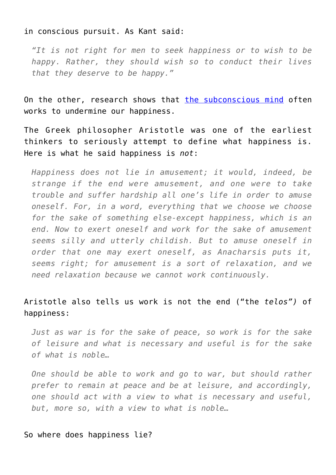## in conscious pursuit. As Kant said:

*"It is not right for men to seek happiness or to wish to be happy. Rather, they should wish so to conduct their lives that they deserve to be happy."*

On the other, research shows that [the subconscious mind](https://www.intellectualtakeout.org/blog/unhappy-it-might-be-sign-intelligence) often works to undermine our happiness.

The Greek philosopher Aristotle was one of the earliest thinkers to seriously attempt to define what happiness is. Here is what he said happiness is *not*:

*Happiness does not lie in amusement; it would, indeed, be strange if the end were amusement, and one were to take trouble and suffer hardship all one's life in order to amuse oneself. For, in a word, everything that we choose we choose for the sake of something else-except happiness, which is an end. Now to exert oneself and work for the sake of amusement seems silly and utterly childish. But to amuse oneself in order that one may exert oneself, as Anacharsis puts it, seems right; for amusement is a sort of relaxation, and we need relaxation because we cannot work continuously.* 

## Aristotle also tells us work is not the end ("the *telos")* of happiness:

*Just as war is for the sake of peace, so work is for the sake of leisure and what is necessary and useful is for the sake of what is noble…*

*One should be able to work and go to war, but should rather prefer to remain at peace and be at leisure, and accordingly, one should act with a view to what is necessary and useful, but, more so, with a view to what is noble…*

## So where does happiness lie?